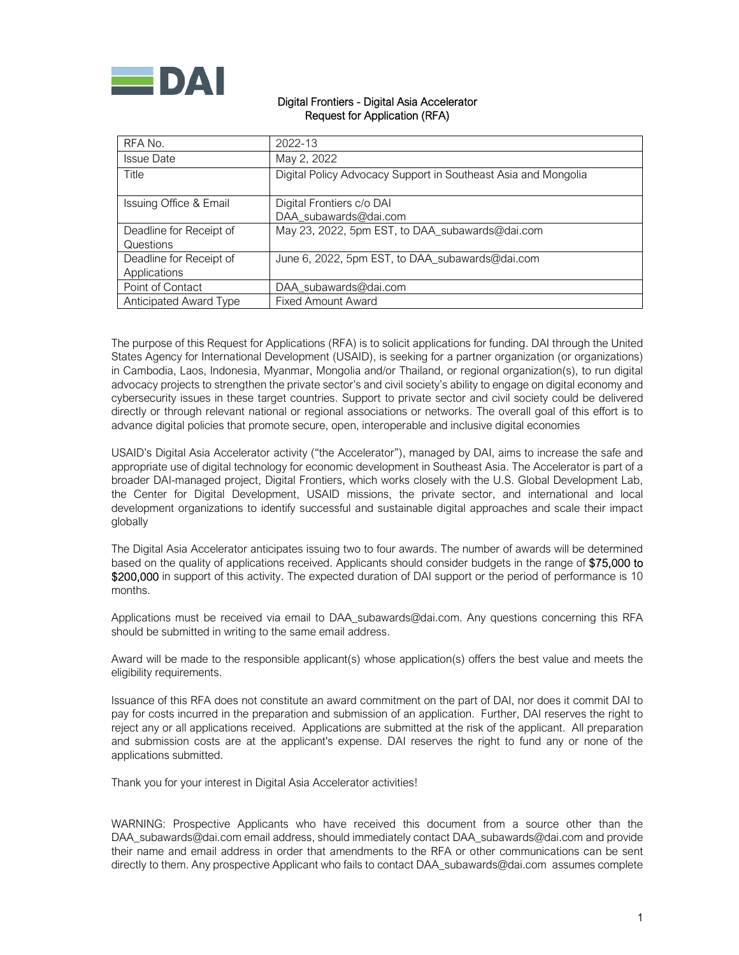

### Digital Frontiers - Digital Asia Accelerator Request for Application (RFA)

| RFA No.                                 | 2022-13                                                        |
|-----------------------------------------|----------------------------------------------------------------|
| <b>Issue Date</b>                       | May 2, 2022                                                    |
| Title                                   | Digital Policy Advocacy Support in Southeast Asia and Mongolia |
| Issuing Office & Email                  | Digital Frontiers c/o DAI<br>DAA subawards@dai.com             |
| Deadline for Receipt of<br>Questions    | May 23, 2022, 5pm EST, to DAA_subawards@dai.com                |
| Deadline for Receipt of<br>Applications | June 6, 2022, 5pm EST, to DAA_subawards@dai.com                |
| Point of Contact                        | DAA subawards@dai.com                                          |
| Anticipated Award Type                  | <b>Fixed Amount Award</b>                                      |

The purpose of this Request for Applications (RFA) is to solicit applications for funding. DAI through the United States Agency for International Development (USAID), is seeking for a partner organization (or organizations) in Cambodia, Laos, Indonesia, Myanmar, Mongolia and/or Thailand, or regional organization(s), to run digital advocacy projects to strengthen the private sector's and civil society's ability to engage on digital economy and cybersecurity issues in these target countries. Support to private sector and civil society could be delivered directly or through relevant national or regional associations or networks. The overall goal of this effort is to advance digital policies that promote secure, open, interoperable and inclusive digital economies

USAID's Digital Asia Accelerator activity ("the Accelerator"), managed by DAI, aims to increase the safe and appropriate use of digital technology for economic development in Southeast Asia. The Accelerator is part of a broader DAI-managed project, Digital Frontiers, which works closely with the U.S. Global Development Lab, the Center for Digital Development, USAID missions, the private sector, and international and local development organizations to identify successful and sustainable digital approaches and scale their impact globally

The Digital Asia Accelerator anticipates issuing two to four awards. The number of awards will be determined based on the quality of applications received. Applicants should consider budgets in the range of \$75,000 to \$200,000 in support of this activity. The expected duration of DAI support or the period of performance is 10 months.

Applications must be received via email to DAA\_subawards@dai.com. Any questions concerning this RFA should be submitted in writing to the same email address.

Award will be made to the responsible applicant(s) whose application(s) offers the best value and meets the eligibility requirements.

Issuance of this RFA does not constitute an award commitment on the part of DAI, nor does it commit DAI to pay for costs incurred in the preparation and submission of an application. Further, DAI reserves the right to reject any or all applications received. Applications are submitted at the risk of the applicant. All preparation and submission costs are at the applicant's expense. DAI reserves the right to fund any or none of the applications submitted.

Thank you for your interest in Digital Asia Accelerator activities!

WARNING: Prospective Applicants who have received this document from a source other than the DAA\_subawards@dai.com email address, should immediately contact DAA\_subawards@dai.com and provide their name and email address in order that amendments to the RFA or other communications can be sent directly to them. Any prospective Applicant who fails to contact DAA\_subawards@dai.com assumes complete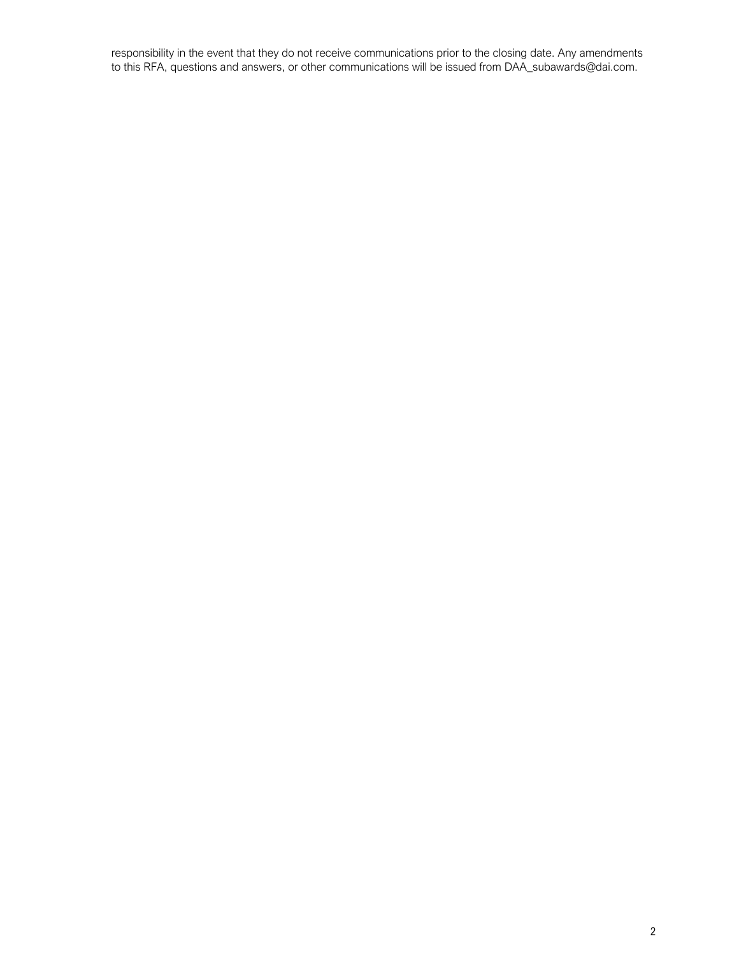responsibility in the event that they do not receive communications prior to the closing date. Any amendments to this RFA, questions and answers, or other communications will be issued from DAA\_subawards@dai.com.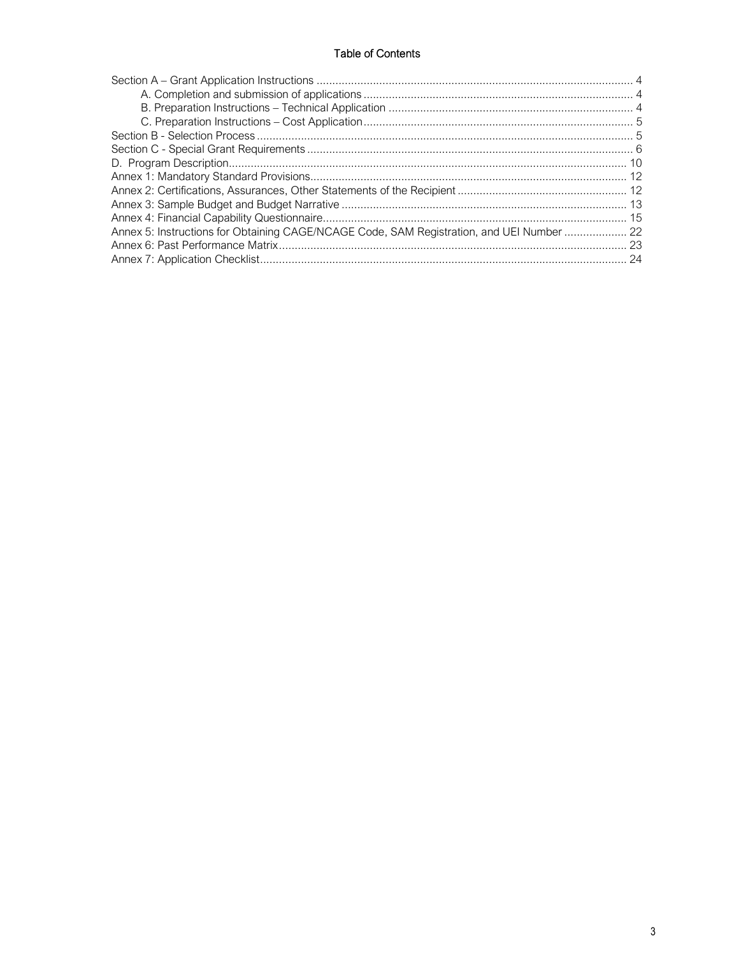# **Table of Contents**

| Annex 5: Instructions for Obtaining CAGE/NCAGE Code, SAM Registration, and UEI Number  22 |  |
|-------------------------------------------------------------------------------------------|--|
|                                                                                           |  |
|                                                                                           |  |
|                                                                                           |  |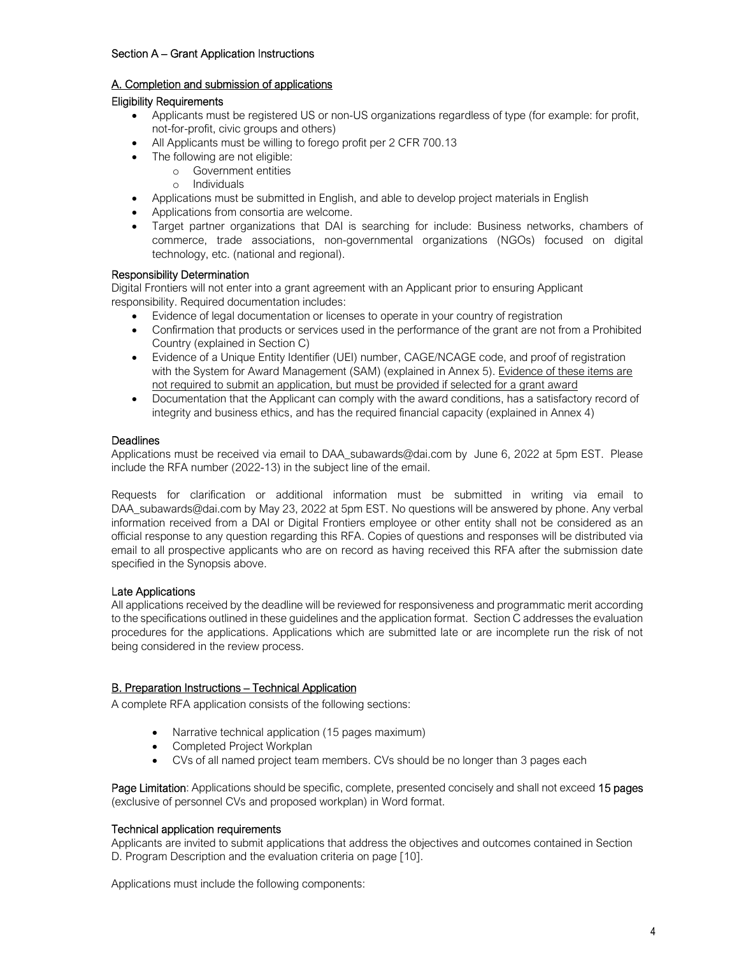### Section A – Grant Application Instructions

### A. Completion and submission of applications

### Eligibility Requirements

- Applicants must be registered US or non-US organizations regardless of type (for example: for profit, not-for-profit, civic groups and others)
- All Applicants must be willing to forego profit per 2 CFR 700.13
- The following are not eligible:
	- o Government entities
		- o Individuals
- Applications must be submitted in English, and able to develop project materials in English
- Applications from consortia are welcome.
- Target partner organizations that DAI is searching for include: Business networks, chambers of commerce, trade associations, non-governmental organizations (NGOs) focused on digital technology, etc. (national and regional).

### Responsibility Determination

Digital Frontiers will not enter into a grant agreement with an Applicant prior to ensuring Applicant responsibility. Required documentation includes:

- Evidence of legal documentation or licenses to operate in your country of registration
- Confirmation that products or services used in the performance of the grant are not from a Prohibited Country (explained in Section C)
- Evidence of a Unique Entity Identifier (UEI) number, CAGE/NCAGE code, and proof of registration with the System for Award Management (SAM) (explained in Annex 5). Evidence of these items are not required to submit an application, but must be provided if selected for a grant award
- Documentation that the Applicant can comply with the award conditions, has a satisfactory record of integrity and business ethics, and has the required financial capacity (explained in Annex 4)

### **Deadlines**

Applications must be received via email to DAA subawards@dai.com by June 6, 2022 at 5pm EST. Please include the RFA number (2022-13) in the subject line of the email.

Requests for clarification or additional information must be submitted in writing via email to DAA\_subawards@dai.com by May 23, 2022 at 5pm EST. No questions will be answered by phone. Any verbal information received from a DAI or Digital Frontiers employee or other entity shall not be considered as an official response to any question regarding this RFA. Copies of questions and responses will be distributed via email to all prospective applicants who are on record as having received this RFA after the submission date specified in the Synopsis above.

### Late Applications

All applications received by the deadline will be reviewed for responsiveness and programmatic merit according to the specifications outlined in these guidelines and the application format. Section C addresses the evaluation procedures for the applications. Applications which are submitted late or are incomplete run the risk of not being considered in the review process.

### B. Preparation Instructions – Technical Application

A complete RFA application consists of the following sections:

- Narrative technical application (15 pages maximum)
- Completed Project Workplan
- CVs of all named project team members. CVs should be no longer than 3 pages each

Page Limitation: Applications should be specific, complete, presented concisely and shall not exceed 15 pages (exclusive of personnel CVs and proposed workplan) in Word format.

### Technical application requirements

Applicants are invited to submit applications that address the objectives and outcomes contained in Section D. Program Description and the evaluation criteria on page [10].

Applications must include the following components: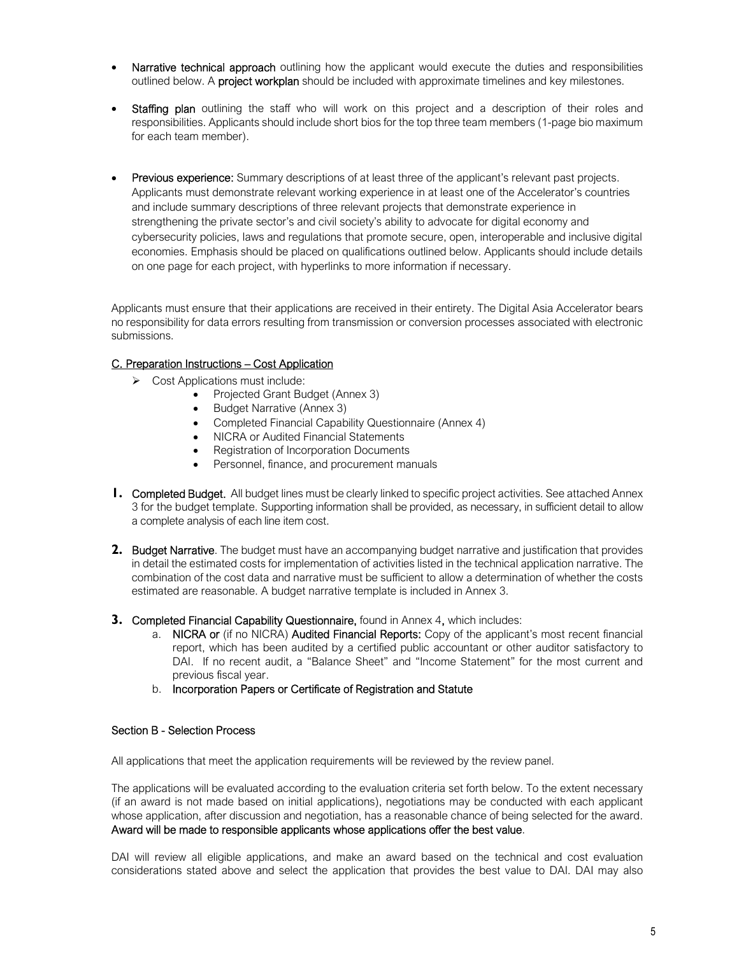- Narrative technical approach outlining how the applicant would execute the duties and responsibilities outlined below. A **project workplan** should be included with approximate timelines and key milestones.
- Staffing plan outlining the staff who will work on this project and a description of their roles and responsibilities. Applicants should include short bios for the top three team members (1-page bio maximum for each team member).
- Previous experience: Summary descriptions of at least three of the applicant's relevant past projects. Applicants must demonstrate relevant working experience in at least one of the Accelerator's countries and include summary descriptions of three relevant projects that demonstrate experience in strengthening the private sector's and civil society's ability to advocate for digital economy and cybersecurity policies, laws and regulations that promote secure, open, interoperable and inclusive digital economies. Emphasis should be placed on qualifications outlined below. Applicants should include details on one page for each project, with hyperlinks to more information if necessary.

Applicants must ensure that their applications are received in their entirety. The Digital Asia Accelerator bears no responsibility for data errors resulting from transmission or conversion processes associated with electronic submissions.

### C. Preparation Instructions – Cost Application

- $\triangleright$  Cost Applications must include:
	- Projected Grant Budget (Annex 3)
		- Budget Narrative (Annex 3)
	- Completed Financial Capability Questionnaire (Annex 4)
	- NICRA or Audited Financial Statements
	- Registration of Incorporation Documents
	- Personnel, finance, and procurement manuals
- **1.** Completed Budget. All budget lines must be clearly linked to specific project activities. See attached Annex 3 for the budget template. Supporting information shall be provided, as necessary, in sufficient detail to allow a complete analysis of each line item cost.
- **2.** Budget Narrative. The budget must have an accompanying budget narrative and justification that provides in detail the estimated costs for implementation of activities listed in the technical application narrative. The combination of the cost data and narrative must be sufficient to allow a determination of whether the costs estimated are reasonable. A budget narrative template is included in Annex 3.
- **3.** Completed Financial Capability Questionnaire, found in Annex 4, which includes:
	- a. NICRA or (if no NICRA) Audited Financial Reports: Copy of the applicant's most recent financial report, which has been audited by a certified public accountant or other auditor satisfactory to DAI. If no recent audit, a "Balance Sheet" and "Income Statement" for the most current and previous fiscal year.
	- b. Incorporation Papers or Certificate of Registration and Statute

#### Section B - Selection Process

All applications that meet the application requirements will be reviewed by the review panel.

The applications will be evaluated according to the evaluation criteria set forth below. To the extent necessary (if an award is not made based on initial applications), negotiations may be conducted with each applicant whose application, after discussion and negotiation, has a reasonable chance of being selected for the award. Award will be made to responsible applicants whose applications offer the best value.

DAI will review all eligible applications, and make an award based on the technical and cost evaluation considerations stated above and select the application that provides the best value to DAI. DAI may also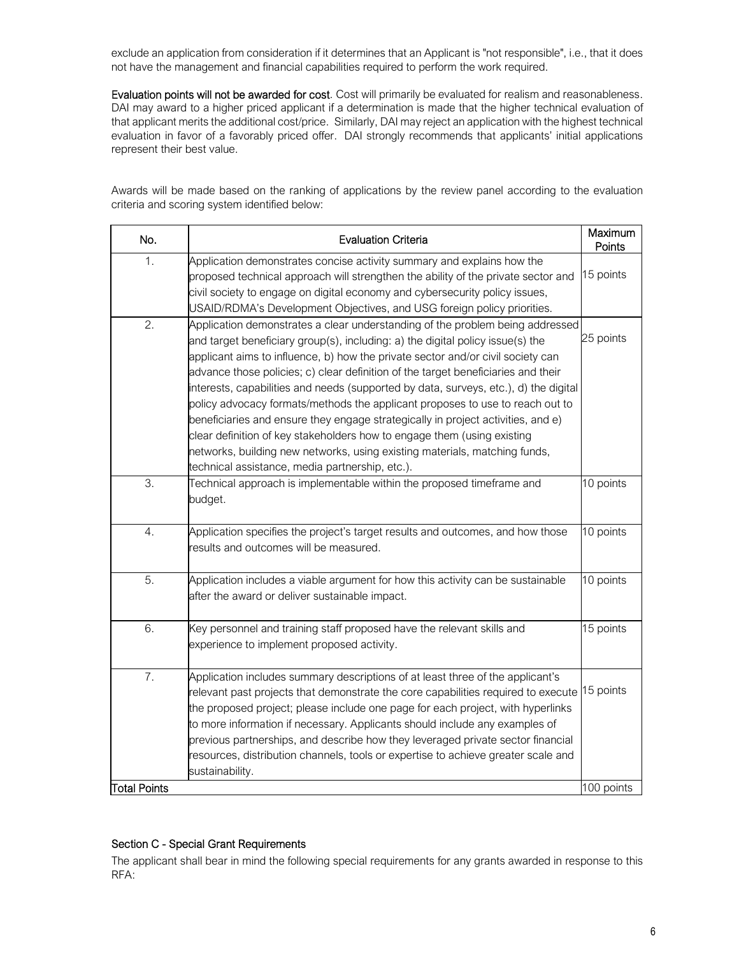exclude an application from consideration if it determines that an Applicant is "not responsible", i.e., that it does not have the management and financial capabilities required to perform the work required.

Evaluation points will not be awarded for cost. Cost will primarily be evaluated for realism and reasonableness. DAI may award to a higher priced applicant if a determination is made that the higher technical evaluation of that applicant merits the additional cost/price. Similarly, DAI may reject an application with the highest technical evaluation in favor of a favorably priced offer. DAI strongly recommends that applicants' initial applications represent their best value.

Awards will be made based on the ranking of applications by the review panel according to the evaluation criteria and scoring system identified below:

| No.              | <b>Evaluation Criteria</b>                                                           | Maximum<br>Points |
|------------------|--------------------------------------------------------------------------------------|-------------------|
| 1.               | Application demonstrates concise activity summary and explains how the               |                   |
|                  | proposed technical approach will strengthen the ability of the private sector and    | 15 points         |
|                  | civil society to engage on digital economy and cybersecurity policy issues,          |                   |
|                  | USAID/RDMA's Development Objectives, and USG foreign policy priorities.              |                   |
| 2.               | Application demonstrates a clear understanding of the problem being addressed        |                   |
|                  | and target beneficiary group(s), including: a) the digital policy issue(s) the       | 25 points         |
|                  | applicant aims to influence, b) how the private sector and/or civil society can      |                   |
|                  | advance those policies; c) clear definition of the target beneficiaries and their    |                   |
|                  | interests, capabilities and needs (supported by data, surveys, etc.), d) the digital |                   |
|                  | policy advocacy formats/methods the applicant proposes to use to reach out to        |                   |
|                  | beneficiaries and ensure they engage strategically in project activities, and e)     |                   |
|                  | clear definition of key stakeholders how to engage them (using existing              |                   |
|                  | networks, building new networks, using existing materials, matching funds,           |                   |
|                  | technical assistance, media partnership, etc.).                                      |                   |
| $\overline{3}$ . | Technical approach is implementable within the proposed timeframe and                | 10 points         |
|                  | budget.                                                                              |                   |
|                  |                                                                                      |                   |
| 4.               | Application specifies the project's target results and outcomes, and how those       | 10 points         |
|                  | results and outcomes will be measured.                                               |                   |
|                  |                                                                                      |                   |
| 5.               | Application includes a viable argument for how this activity can be sustainable      | 10 points         |
|                  | after the award or deliver sustainable impact.                                       |                   |
|                  |                                                                                      |                   |
| 6.               | Key personnel and training staff proposed have the relevant skills and               | 15 points         |
|                  | experience to implement proposed activity.                                           |                   |
| 7.               | Application includes summary descriptions of at least three of the applicant's       |                   |
|                  | relevant past projects that demonstrate the core capabilities required to execute    | 15 points         |
|                  | the proposed project; please include one page for each project, with hyperlinks      |                   |
|                  | to more information if necessary. Applicants should include any examples of          |                   |
|                  | previous partnerships, and describe how they leveraged private sector financial      |                   |
|                  | resources, distribution channels, tools or expertise to achieve greater scale and    |                   |
|                  | sustainability.                                                                      |                   |
| Total Points     |                                                                                      | 100 points        |

### Section C - Special Grant Requirements

The applicant shall bear in mind the following special requirements for any grants awarded in response to this RFA: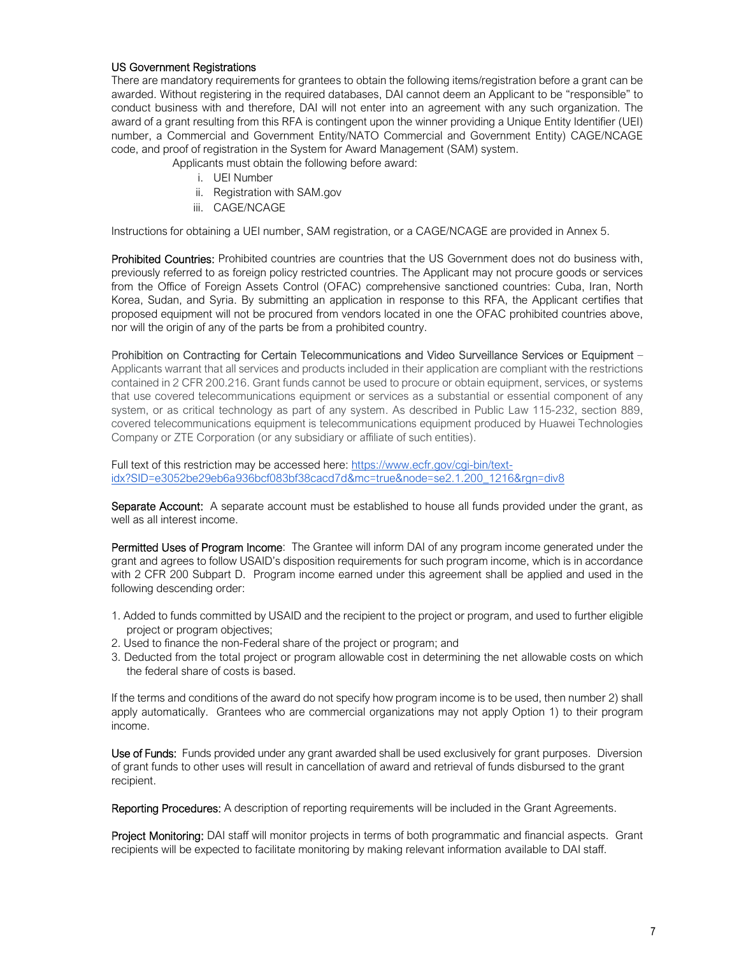### US Government Registrations

There are mandatory requirements for grantees to obtain the following items/registration before a grant can be awarded. Without registering in the required databases, DAI cannot deem an Applicant to be "responsible" to conduct business with and therefore, DAI will not enter into an agreement with any such organization. The award of a grant resulting from this RFA is contingent upon the winner providing a Unique Entity Identifier (UEI) number, a Commercial and Government Entity/NATO Commercial and Government Entity) CAGE/NCAGE code, and proof of registration in the System for Award Management (SAM) system.

Applicants must obtain the following before award:

- i. UEI Number
- ii. Registration with SAM.gov
- iii. CAGE/NCAGE

Instructions for obtaining a UEI number, SAM registration, or a CAGE/NCAGE are provided in Annex 5.

Prohibited Countries: Prohibited countries are countries that the US Government does not do business with, previously referred to as foreign policy restricted countries. The Applicant may not procure goods or services from the Office of Foreign Assets Control (OFAC) comprehensive sanctioned countries: Cuba, Iran, North Korea, Sudan, and Syria. By submitting an application in response to this RFA, the Applicant certifies that proposed equipment will not be procured from vendors located in one the OFAC prohibited countries above, nor will the origin of any of the parts be from a prohibited country.

Prohibition on Contracting for Certain Telecommunications and Video Surveillance Services or Equipment – Applicants warrant that all services and products included in their application are compliant with the restrictions contained in 2 CFR 200.216. Grant funds cannot be used to procure or obtain equipment, services, or systems that use covered telecommunications equipment or services as a substantial or essential component of any system, or as critical technology as part of any system. As described in Public Law 115-232, section 889, covered telecommunications equipment is telecommunications equipment produced by Huawei Technologies Company or ZTE Corporation (or any subsidiary or affiliate of such entities).

Full text of this restriction may be accessed here: https://www.ecfr.gov/cgi-bin/textidx?SID=e3052be29eb6a936bcf083bf38cacd7d&mc=true&node=se2.1.200\_1216&rgn=div8

Separate Account: A separate account must be established to house all funds provided under the grant, as well as all interest income.

Permitted Uses of Program Income: The Grantee will inform DAI of any program income generated under the grant and agrees to follow USAID's disposition requirements for such program income, which is in accordance with 2 CFR 200 Subpart D. Program income earned under this agreement shall be applied and used in the following descending order:

- 1. Added to funds committed by USAID and the recipient to the project or program, and used to further eligible project or program objectives;
- 2. Used to finance the non-Federal share of the project or program; and
- 3. Deducted from the total project or program allowable cost in determining the net allowable costs on which the federal share of costs is based.

If the terms and conditions of the award do not specify how program income is to be used, then number 2) shall apply automatically. Grantees who are commercial organizations may not apply Option 1) to their program income.

Use of Funds: Funds provided under any grant awarded shall be used exclusively for grant purposes. Diversion of grant funds to other uses will result in cancellation of award and retrieval of funds disbursed to the grant recipient.

Reporting Procedures: A description of reporting requirements will be included in the Grant Agreements.

Project Monitoring: DAI staff will monitor projects in terms of both programmatic and financial aspects. Grant recipients will be expected to facilitate monitoring by making relevant information available to DAI staff.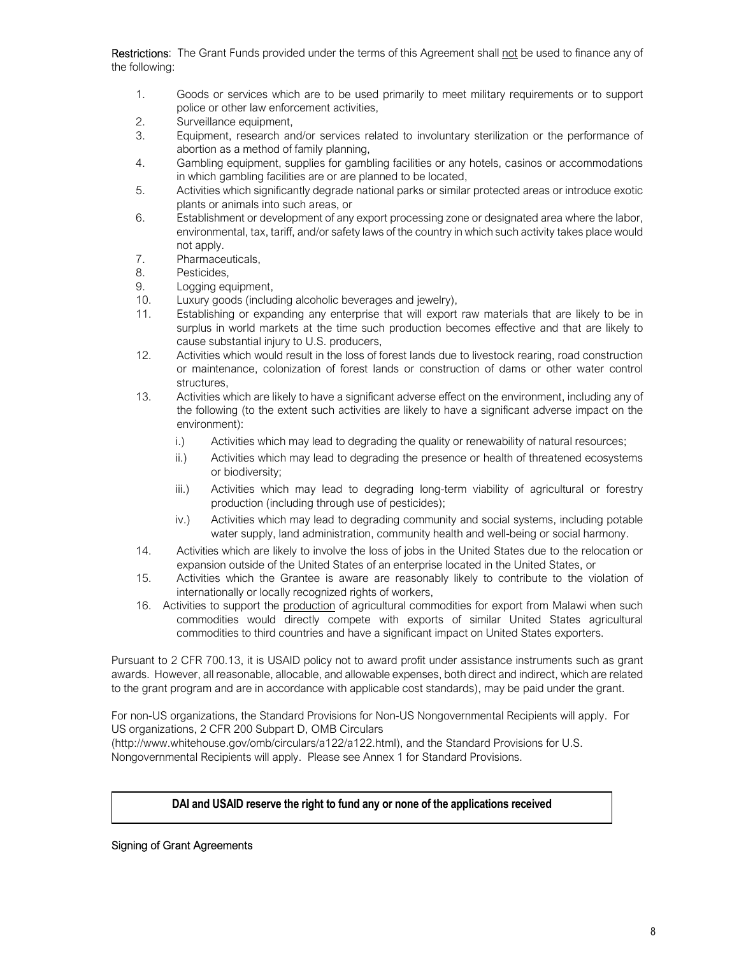Restrictions: The Grant Funds provided under the terms of this Agreement shall not be used to finance any of the following:

- 1. Goods or services which are to be used primarily to meet military requirements or to support police or other law enforcement activities,
- 2. Surveillance equipment,
- 3. Equipment, research and/or services related to involuntary sterilization or the performance of abortion as a method of family planning,
- 4. Gambling equipment, supplies for gambling facilities or any hotels, casinos or accommodations in which gambling facilities are or are planned to be located,
- 5. Activities which significantly degrade national parks or similar protected areas or introduce exotic plants or animals into such areas, or
- 6. Establishment or development of any export processing zone or designated area where the labor, environmental, tax, tariff, and/or safety laws of the country in which such activity takes place would not apply.
- 7. Pharmaceuticals,
- 8. Pesticides,
- 9. Logging equipment,
- 10. Luxury goods (including alcoholic beverages and jewelry),
- 11. Establishing or expanding any enterprise that will export raw materials that are likely to be in surplus in world markets at the time such production becomes effective and that are likely to cause substantial injury to U.S. producers,
- 12. Activities which would result in the loss of forest lands due to livestock rearing, road construction or maintenance, colonization of forest lands or construction of dams or other water control structures,
- 13. Activities which are likely to have a significant adverse effect on the environment, including any of the following (to the extent such activities are likely to have a significant adverse impact on the environment):
	- i.) Activities which may lead to degrading the quality or renewability of natural resources;
	- ii.) Activities which may lead to degrading the presence or health of threatened ecosystems or biodiversity;
	- iii.) Activities which may lead to degrading long-term viability of agricultural or forestry production (including through use of pesticides);
	- iv.) Activities which may lead to degrading community and social systems, including potable water supply, land administration, community health and well-being or social harmony.
- 14. Activities which are likely to involve the loss of jobs in the United States due to the relocation or expansion outside of the United States of an enterprise located in the United States, or
- 15. Activities which the Grantee is aware are reasonably likely to contribute to the violation of internationally or locally recognized rights of workers,
- 16. Activities to support the production of agricultural commodities for export from Malawi when such commodities would directly compete with exports of similar United States agricultural commodities to third countries and have a significant impact on United States exporters.

Pursuant to 2 CFR 700.13, it is USAID policy not to award profit under assistance instruments such as grant awards. However, all reasonable, allocable, and allowable expenses, both direct and indirect, which are related to the grant program and are in accordance with applicable cost standards), may be paid under the grant.

For non-US organizations, the Standard Provisions for Non-US Nongovernmental Recipients will apply. For US organizations, 2 CFR 200 Subpart D, OMB Circulars

(http://www.whitehouse.gov/omb/circulars/a122/a122.html), and the Standard Provisions for U.S. Nongovernmental Recipients will apply. Please see Annex 1 for Standard Provisions.

# **DAI and USAID reserve the right to fund any or none of the applications received**

### Signing of Grant Agreements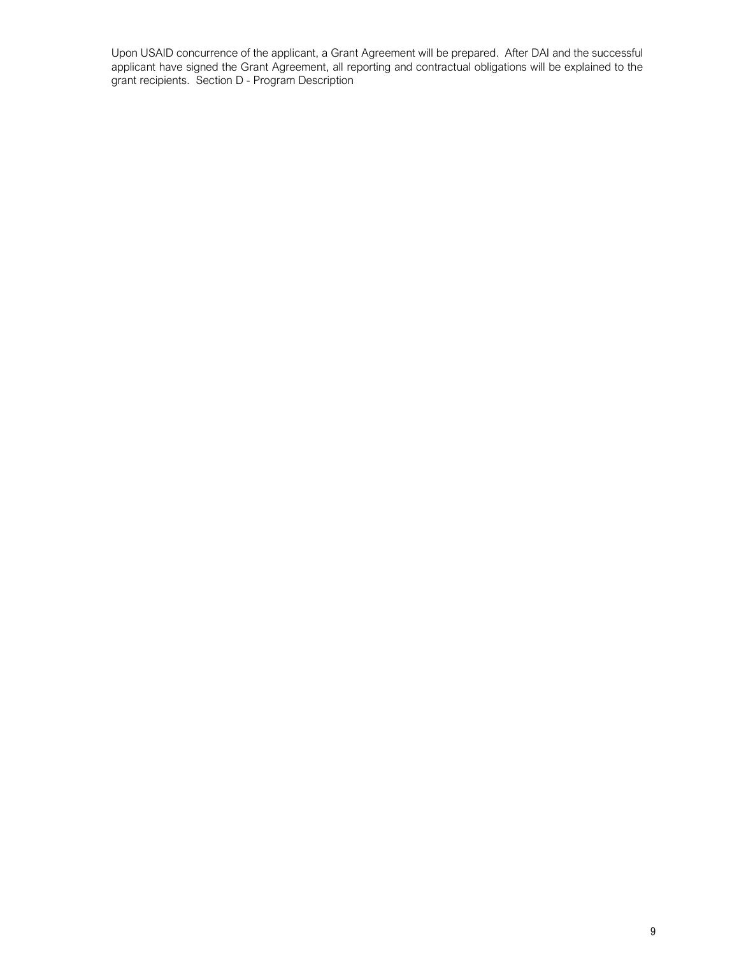Upon USAID concurrence of the applicant, a Grant Agreement will be prepared. After DAI and the successful applicant have signed the Grant Agreement, all reporting and contractual obligations will be explained to the grant recipients. Section D - Program Description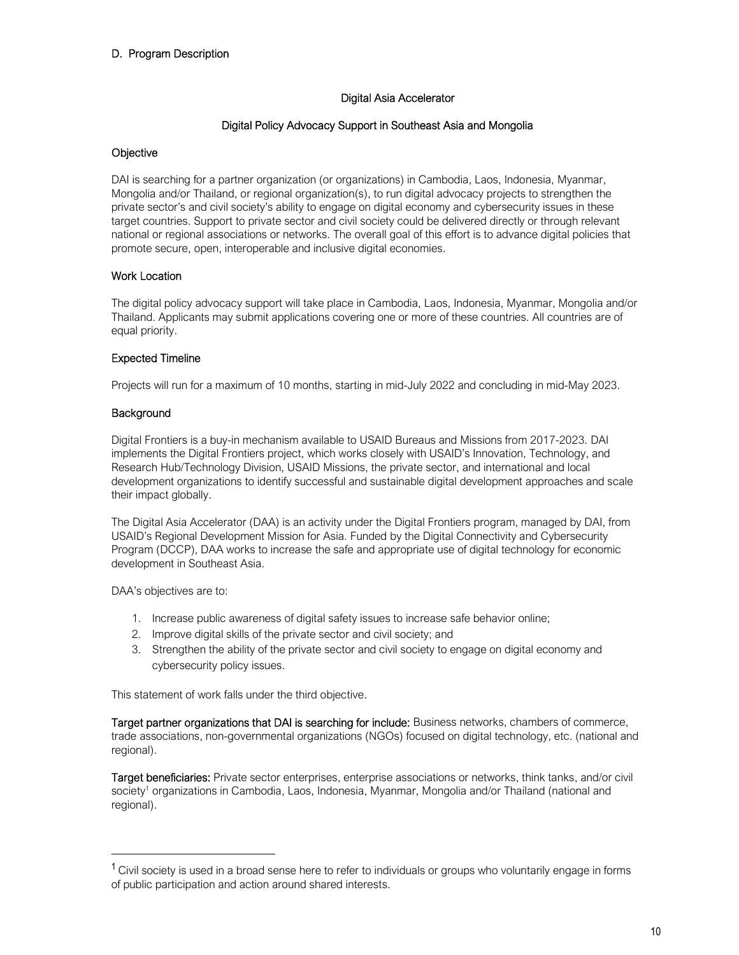# D. Program Description

### Digital Asia Accelerator

### Digital Policy Advocacy Support in Southeast Asia and Mongolia

### **Objective**

DAI is searching for a partner organization (or organizations) in Cambodia, Laos, Indonesia, Myanmar, Mongolia and/or Thailand, or regional organization(s), to run digital advocacy projects to strengthen the private sector's and civil society's ability to engage on digital economy and cybersecurity issues in these target countries. Support to private sector and civil society could be delivered directly or through relevant national or regional associations or networks. The overall goal of this effort is to advance digital policies that promote secure, open, interoperable and inclusive digital economies.

### Work Location

The digital policy advocacy support will take place in Cambodia, Laos, Indonesia, Myanmar, Mongolia and/or Thailand. Applicants may submit applications covering one or more of these countries. All countries are of equal priority.

### Expected Timeline

Projects will run for a maximum of 10 months, starting in mid-July 2022 and concluding in mid-May 2023.

### **Background**

Digital Frontiers is a buy-in mechanism available to USAID Bureaus and Missions from 2017-2023. DAI implements the Digital Frontiers project, which works closely with USAID's Innovation, Technology, and Research Hub/Technology Division, USAID Missions, the private sector, and international and local development organizations to identify successful and sustainable digital development approaches and scale their impact globally.

The Digital Asia Accelerator (DAA) is an activity under the Digital Frontiers program, managed by DAI, from USAID's Regional Development Mission for Asia. Funded by the Digital Connectivity and Cybersecurity Program (DCCP), DAA works to increase the safe and appropriate use of digital technology for economic development in Southeast Asia.

DAA's objectives are to:

- 1. Increase public awareness of digital safety issues to increase safe behavior online;
- 2. Improve digital skills of the private sector and civil society; and
- 3. Strengthen the ability of the private sector and civil society to engage on digital economy and cybersecurity policy issues.

This statement of work falls under the third objective.

Target partner organizations that DAI is searching for include: Business networks, chambers of commerce, trade associations, non-governmental organizations (NGOs) focused on digital technology, etc. (national and regional).

Target beneficiaries: Private sector enterprises, enterprise associations or networks, think tanks, and/or civil society<sup>1</sup> organizations in Cambodia, Laos, Indonesia, Myanmar, Mongolia and/or Thailand (national and regional).

<sup>&</sup>lt;sup>1</sup> Civil society is used in a broad sense here to refer to individuals or groups who voluntarily engage in forms of public participation and action around shared interests.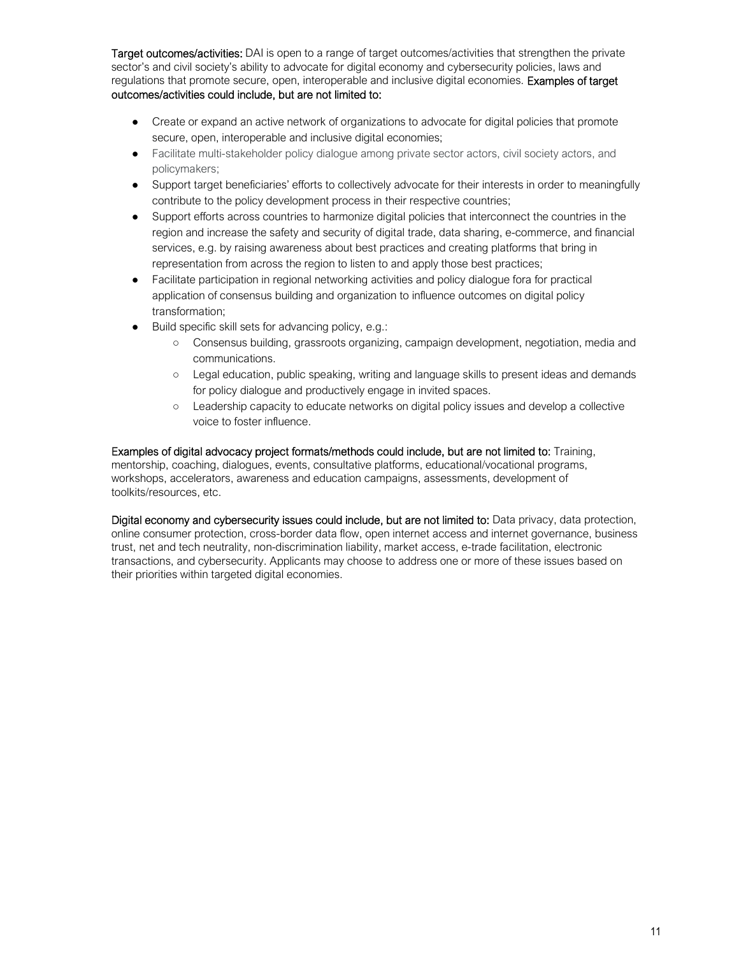Target outcomes/activities: DAI is open to a range of target outcomes/activities that strengthen the private sector's and civil society's ability to advocate for digital economy and cybersecurity policies, laws and regulations that promote secure, open, interoperable and inclusive digital economies. Examples of target outcomes/activities could include, but are not limited to:

- Create or expand an active network of organizations to advocate for digital policies that promote secure, open, interoperable and inclusive digital economies;
- Facilitate multi-stakeholder policy dialogue among private sector actors, civil society actors, and policymakers;
- Support target beneficiaries' efforts to collectively advocate for their interests in order to meaningfully contribute to the policy development process in their respective countries;
- Support efforts across countries to harmonize digital policies that interconnect the countries in the region and increase the safety and security of digital trade, data sharing, e-commerce, and financial services, e.g. by raising awareness about best practices and creating platforms that bring in representation from across the region to listen to and apply those best practices;
- Facilitate participation in regional networking activities and policy dialogue fora for practical application of consensus building and organization to influence outcomes on digital policy transformation;
- Build specific skill sets for advancing policy, e.g.:
	- Consensus building, grassroots organizing, campaign development, negotiation, media and communications.
	- Legal education, public speaking, writing and language skills to present ideas and demands for policy dialogue and productively engage in invited spaces.
	- Leadership capacity to educate networks on digital policy issues and develop a collective voice to foster influence.

Examples of digital advocacy project formats/methods could include, but are not limited to: Training, mentorship, coaching, dialogues, events, consultative platforms, educational/vocational programs, workshops, accelerators, awareness and education campaigns, assessments, development of toolkits/resources, etc.

Digital economy and cybersecurity issues could include, but are not limited to: Data privacy, data protection, online consumer protection, cross-border data flow, open internet access and internet governance, business trust, net and tech neutrality, non-discrimination liability, market access, e-trade facilitation, electronic transactions, and cybersecurity. Applicants may choose to address one or more of these issues based on their priorities within targeted digital economies.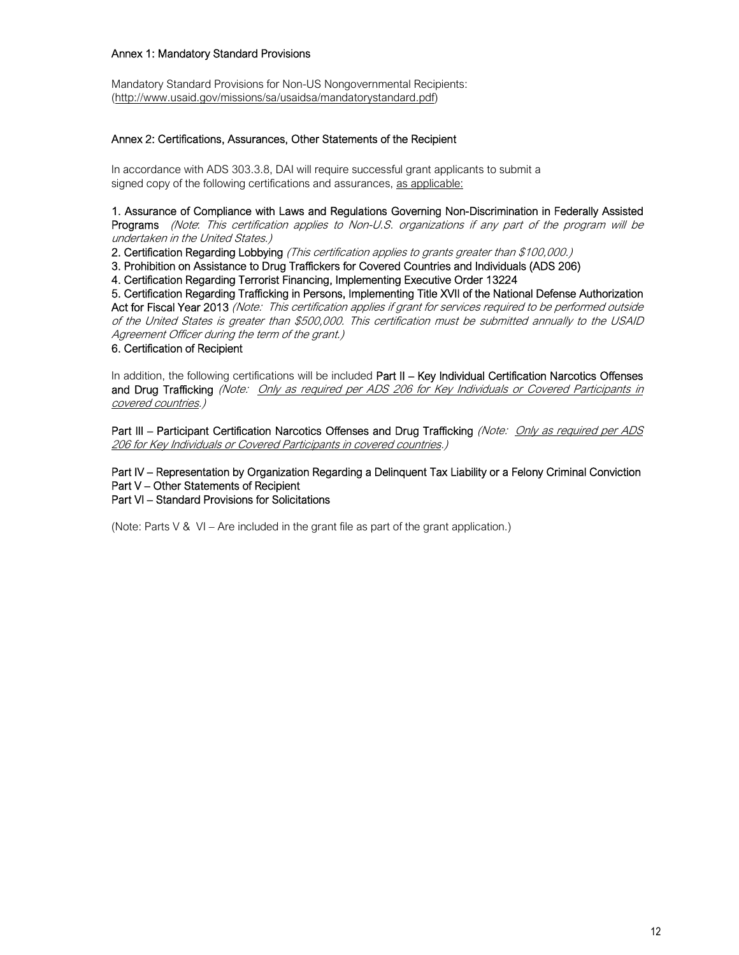### Annex 1: Mandatory Standard Provisions

Mandatory Standard Provisions for Non-US Nongovernmental Recipients: (http://www.usaid.gov/missions/sa/usaidsa/mandatorystandard.pdf)

### Annex 2: Certifications, Assurances, Other Statements of the Recipient

In accordance with ADS 303.3.8, DAI will require successful grant applicants to submit a signed copy of the following certifications and assurances, as applicable:

1. Assurance of Compliance with Laws and Regulations Governing Non-Discrimination in Federally Assisted Programs (Note. This certification applies to Non-U.S. organizations if any part of the program will be undertaken in the United States.)

2. Certification Regarding Lobbying (This certification applies to grants greater than \$100,000.)

3. Prohibition on Assistance to Drug Traffickers for Covered Countries and Individuals (ADS 206)

4. Certification Regarding Terrorist Financing, Implementing Executive Order 13224

5. Certification Regarding Trafficking in Persons, Implementing Title XVII of the National Defense Authorization Act for Fiscal Year 2013 (Note: This certification applies if grant for services required to be performed outside of the United States is greater than \$500,000. This certification must be submitted annually to the USAID Agreement Officer during the term of the grant.)

#### 6. Certification of Recipient

In addition, the following certifications will be included Part II – Key Individual Certification Narcotics Offenses and Drug Trafficking (Note: Only as required per ADS 206 for Key Individuals or Covered Participants in covered countries.)

Part III – Participant Certification Narcotics Offenses and Drug Trafficking (Note: Only as required per ADS 206 for Key Individuals or Covered Participants in covered countries.)

Part IV – Representation by Organization Regarding a Delinquent Tax Liability or a Felony Criminal Conviction Part V – Other Statements of Recipient

Part VI – Standard Provisions for Solicitations

(Note: Parts  $V$  &  $VI$  – Are included in the grant file as part of the grant application.)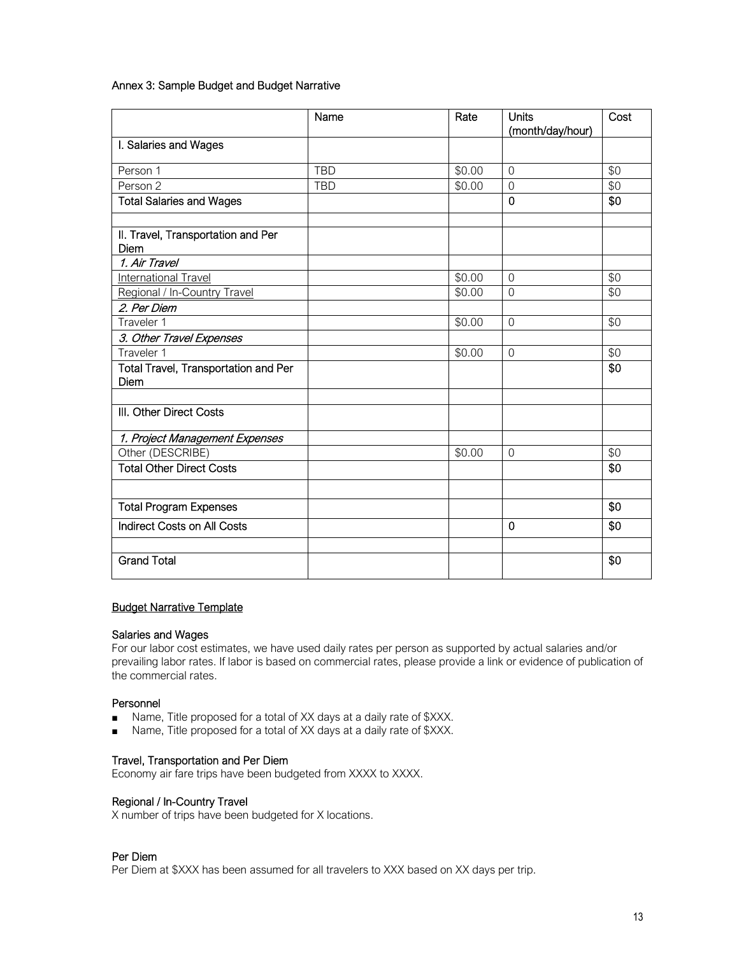Annex 3: Sample Budget and Budget Narrative

|                                              | Name       | Rate   | <b>Units</b><br>(month/day/hour) | Cost |
|----------------------------------------------|------------|--------|----------------------------------|------|
| I. Salaries and Wages                        |            |        |                                  |      |
| Person 1                                     | <b>TBD</b> | \$0.00 | $\Omega$                         | \$0  |
| Person 2                                     | <b>TBD</b> | \$0.00 | $\Omega$                         | \$0  |
| <b>Total Salaries and Wages</b>              |            |        | $\mathbf 0$                      | \$0  |
|                                              |            |        |                                  |      |
| II. Travel, Transportation and Per<br>Diem   |            |        |                                  |      |
| 1. Air Travel                                |            |        |                                  |      |
| International Travel                         |            | \$0.00 | $\Omega$                         | \$0  |
| Regional / In-Country Travel                 |            | \$0.00 | $\overline{0}$                   | \$0  |
| 2. Per Diem                                  |            |        |                                  |      |
| Traveler 1                                   |            | \$0.00 | $\Omega$                         | \$0  |
| 3. Other Travel Expenses                     |            |        |                                  |      |
| Traveler 1                                   |            | \$0.00 | $\overline{0}$                   | \$0  |
| Total Travel, Transportation and Per<br>Diem |            |        |                                  | \$0  |
|                                              |            |        |                                  |      |
| III. Other Direct Costs                      |            |        |                                  |      |
| 1. Project Management Expenses               |            |        |                                  |      |
| Other (DESCRIBE)                             |            | \$0.00 | $\overline{0}$                   | \$0  |
| <b>Total Other Direct Costs</b>              |            |        |                                  | \$0  |
|                                              |            |        |                                  |      |
| <b>Total Program Expenses</b>                |            |        |                                  | \$0  |
| <b>Indirect Costs on All Costs</b>           |            |        | $\mathbf 0$                      | \$0  |
|                                              |            |        |                                  |      |
| <b>Grand Total</b>                           |            |        |                                  | \$0  |

### Budget Narrative Template

#### Salaries and Wages

For our labor cost estimates, we have used daily rates per person as supported by actual salaries and/or prevailing labor rates. If labor is based on commercial rates, please provide a link or evidence of publication of the commercial rates.

#### Personnel

- Name, Title proposed for a total of XX days at a daily rate of \$XXX.
- Name, Title proposed for a total of XX days at a daily rate of \$XXX.

#### Travel, Transportation and Per Diem

Economy air fare trips have been budgeted from XXXX to XXXX.

#### Regional / In-Country Travel

X number of trips have been budgeted for X locations.

### Per Diem

Per Diem at \$XXX has been assumed for all travelers to XXX based on XX days per trip.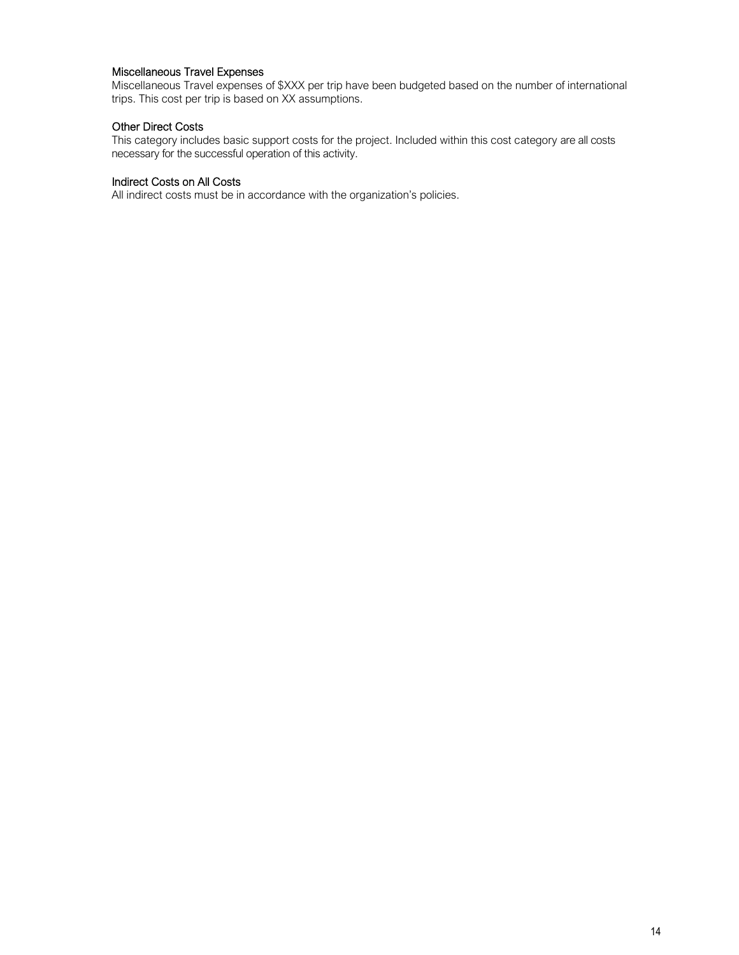### Miscellaneous Travel Expenses

Miscellaneous Travel expenses of \$XXX per trip have been budgeted based on the number of international trips. This cost per trip is based on XX assumptions.

### Other Direct Costs

This category includes basic support costs for the project. Included within this cost category are all costs necessary for the successful operation of this activity.

#### Indirect Costs on All Costs

All indirect costs must be in accordance with the organization's policies.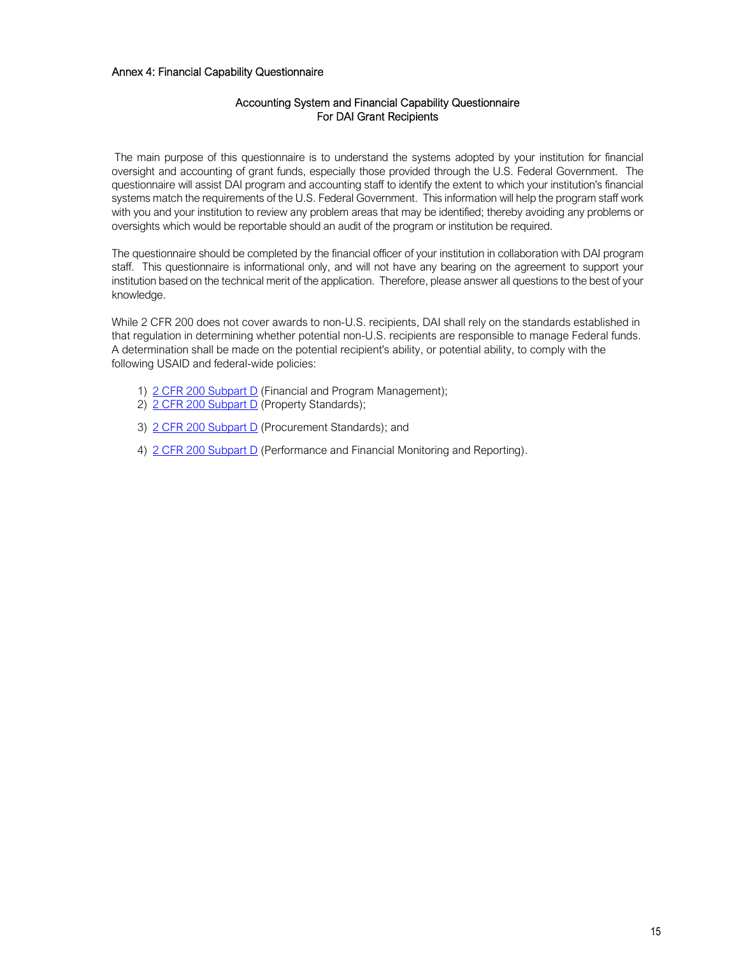#### Annex 4: Financial Capability Questionnaire

### Accounting System and Financial Capability Questionnaire For DAI Grant Recipients

 The main purpose of this questionnaire is to understand the systems adopted by your institution for financial oversight and accounting of grant funds, especially those provided through the U.S. Federal Government. The questionnaire will assist DAI program and accounting staff to identify the extent to which your institution's financial systems match the requirements of the U.S. Federal Government. This information will help the program staff work with you and your institution to review any problem areas that may be identified; thereby avoiding any problems or oversights which would be reportable should an audit of the program or institution be required.

The questionnaire should be completed by the financial officer of your institution in collaboration with DAI program staff. This questionnaire is informational only, and will not have any bearing on the agreement to support your institution based on the technical merit of the application. Therefore, please answer all questions to the best of your knowledge.

While 2 CFR 200 does not cover awards to non-U.S. recipients, DAI shall rely on the standards established in that regulation in determining whether potential non-U.S. recipients are responsible to manage Federal funds. A determination shall be made on the potential recipient's ability, or potential ability, to comply with the following USAID and federal-wide policies:

- 1) 2 CFR 200 Subpart D (Financial and Program Management);
- 2) 2 CFR 200 Subpart D (Property Standards);
- 3) 2 CFR 200 Subpart D (Procurement Standards); and
- 4) 2 CFR 200 Subpart D (Performance and Financial Monitoring and Reporting).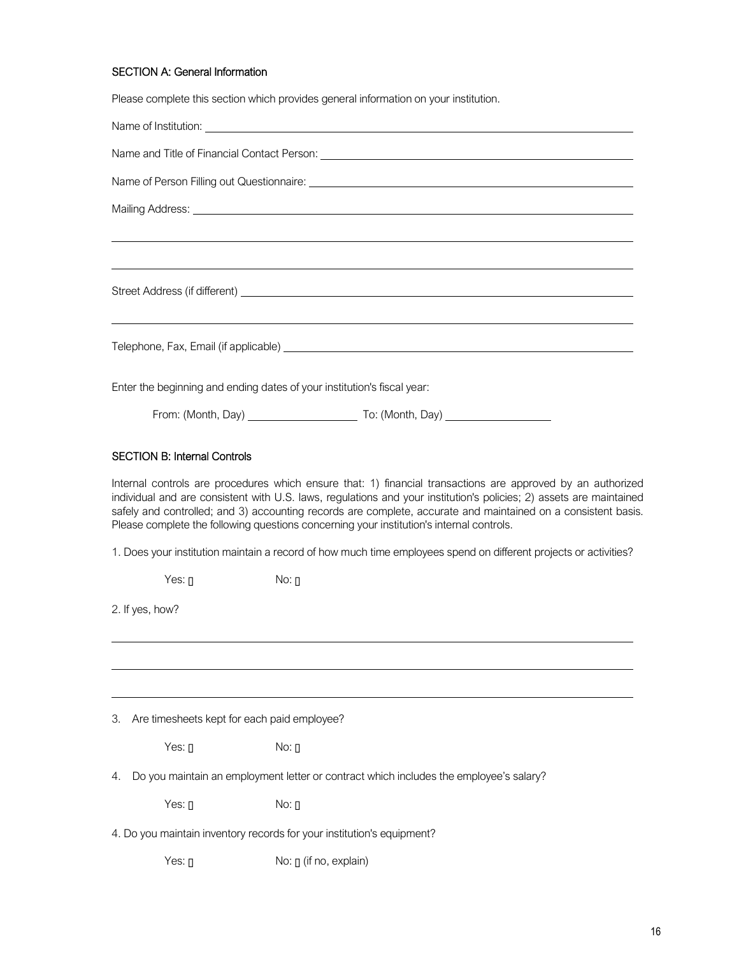# SECTION A: General Information

Please complete this section which provides general information on your institution.

|                                                   | Name and Title of Financial Contact Person: Name of the Second Seconds and Title of Financial Contact Person:                                                                                                                                                                                                                                                                                                                                   |
|---------------------------------------------------|-------------------------------------------------------------------------------------------------------------------------------------------------------------------------------------------------------------------------------------------------------------------------------------------------------------------------------------------------------------------------------------------------------------------------------------------------|
|                                                   |                                                                                                                                                                                                                                                                                                                                                                                                                                                 |
|                                                   |                                                                                                                                                                                                                                                                                                                                                                                                                                                 |
|                                                   |                                                                                                                                                                                                                                                                                                                                                                                                                                                 |
|                                                   |                                                                                                                                                                                                                                                                                                                                                                                                                                                 |
|                                                   |                                                                                                                                                                                                                                                                                                                                                                                                                                                 |
|                                                   | Enter the beginning and ending dates of your institution's fiscal year:                                                                                                                                                                                                                                                                                                                                                                         |
|                                                   |                                                                                                                                                                                                                                                                                                                                                                                                                                                 |
| <b>SECTION B: Internal Controls</b>               |                                                                                                                                                                                                                                                                                                                                                                                                                                                 |
|                                                   | Internal controls are procedures which ensure that: 1) financial transactions are approved by an authorized<br>individual and are consistent with U.S. laws, regulations and your institution's policies; 2) assets are maintained<br>safely and controlled; and 3) accounting records are complete, accurate and maintained on a consistent basis.<br>Please complete the following questions concerning your institution's internal controls. |
|                                                   | 1. Does your institution maintain a record of how much time employees spend on different projects or activities?                                                                                                                                                                                                                                                                                                                                |
| Yes: $\mathbf{r}$                                 | $No: \Box$                                                                                                                                                                                                                                                                                                                                                                                                                                      |
| 2. If yes, how?                                   |                                                                                                                                                                                                                                                                                                                                                                                                                                                 |
|                                                   |                                                                                                                                                                                                                                                                                                                                                                                                                                                 |
| Are timesheets kept for each paid employee?<br>3. |                                                                                                                                                                                                                                                                                                                                                                                                                                                 |
| Yes: []                                           | $No: \Box$                                                                                                                                                                                                                                                                                                                                                                                                                                      |
| 4.                                                | Do you maintain an employment letter or contract which includes the employee's salary?                                                                                                                                                                                                                                                                                                                                                          |
| Yes: $\Pi$                                        | $No: \Box$                                                                                                                                                                                                                                                                                                                                                                                                                                      |
|                                                   | 4. Do you maintain inventory records for your institution's equipment?                                                                                                                                                                                                                                                                                                                                                                          |
| Yes: $0$                                          | No: [] (if no, explain)                                                                                                                                                                                                                                                                                                                                                                                                                         |
|                                                   |                                                                                                                                                                                                                                                                                                                                                                                                                                                 |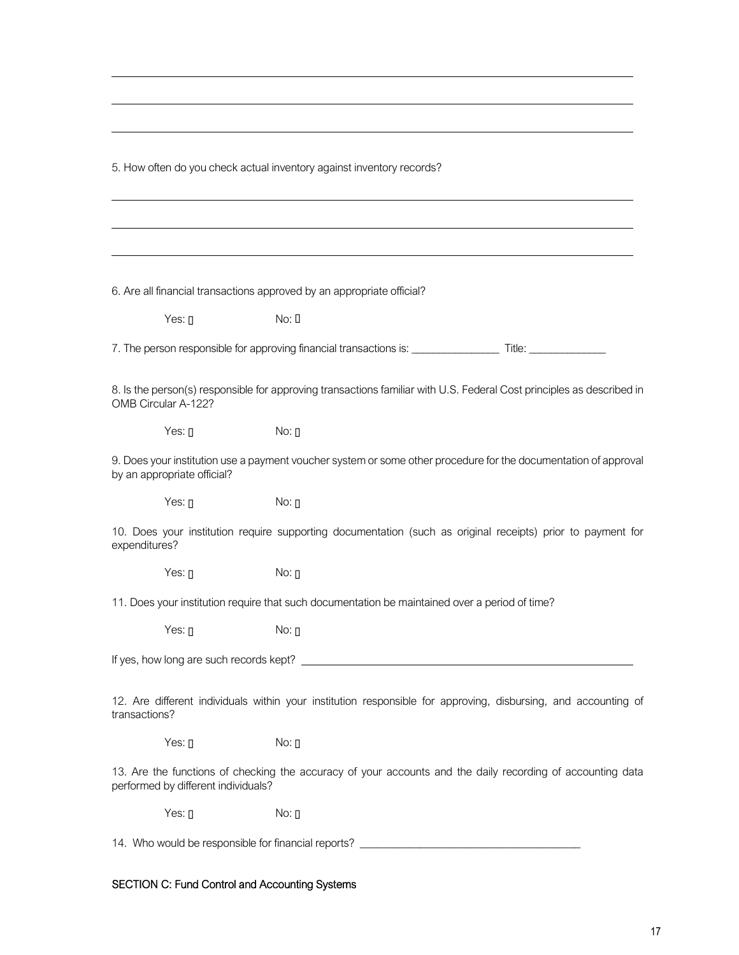5. How often do you check actual inventory against inventory records?

6. Are all financial transactions approved by an appropriate official?

 $Yes:  $\Pi$  \t\t No:  $\Pi$$ 

7. The person responsible for approving financial transactions is: \_\_\_\_\_\_\_\_\_\_\_\_\_\_\_\_ Title: \_\_\_\_\_\_\_\_\_\_\_\_\_\_

8. Is the person(s) responsible for approving transactions familiar with U.S. Federal Cost principles as described in OMB Circular A-122?

 $Yes:  $\Box$  No:  $\Box$$ 

9. Does your institution use a payment voucher system or some other procedure for the documentation of approval by an appropriate official?

 $Yes:  $\Pi$  \t\t No:  $\Pi$$ 

10. Does your institution require supporting documentation (such as original receipts) prior to payment for expenditures?

 $Yes:  $\Pi$  \t\t No:  $\Pi$$ 

11. Does your institution require that such documentation be maintained over a period of time?

 $Yes:  $\Pi$  \t\t No:  $\Pi$$ 

If yes, how long are such records kept?

12. Are different individuals within your institution responsible for approving, disbursing, and accounting of transactions?

 $Yes:  $\Box$  No:  $\Box$$ 

13. Are the functions of checking the accuracy of your accounts and the daily recording of accounting data performed by different individuals?

Yes:  $\Pi$  No:  $\Pi$ 

14. Who would be responsible for financial reports? \_\_\_\_\_\_\_\_\_\_\_\_\_\_\_\_\_\_\_\_\_\_\_\_\_\_\_\_\_\_\_\_\_\_\_\_\_\_\_\_

### SECTION C: Fund Control and Accounting Systems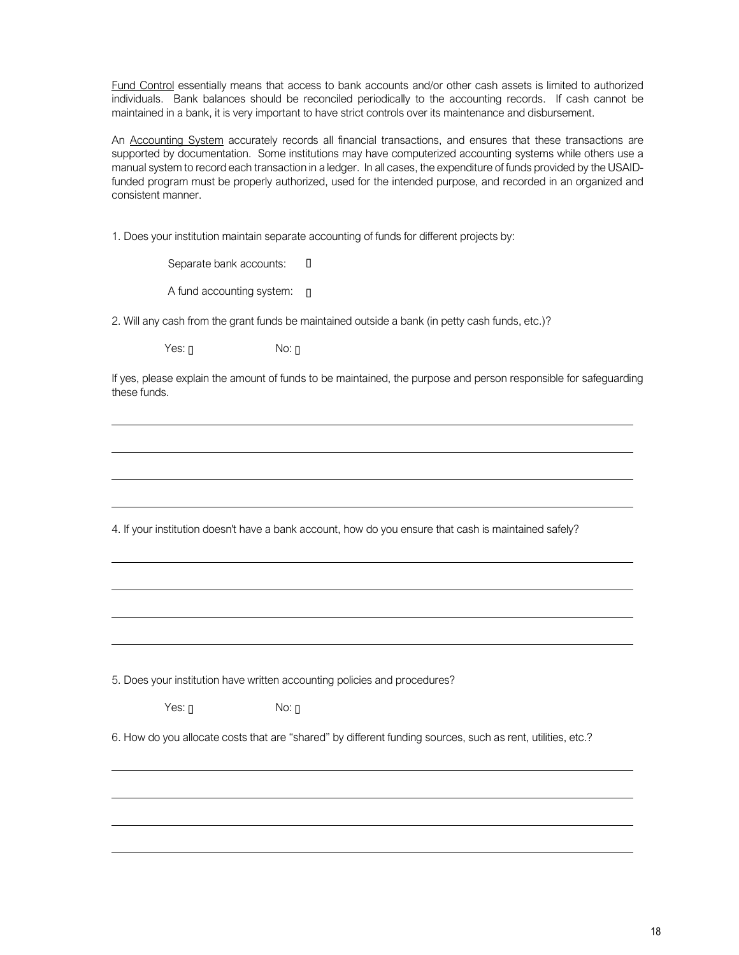Fund Control essentially means that access to bank accounts and/or other cash assets is limited to authorized individuals. Bank balances should be reconciled periodically to the accounting records. If cash cannot be maintained in a bank, it is very important to have strict controls over its maintenance and disbursement.

An Accounting System accurately records all financial transactions, and ensures that these transactions are supported by documentation. Some institutions may have computerized accounting systems while others use a manual system to record each transaction in a ledger. In all cases, the expenditure of funds provided by the USAIDfunded program must be properly authorized, used for the intended purpose, and recorded in an organized and consistent manner.

1. Does your institution maintain separate accounting of funds for different projects by:

Separate bank accounts:  $\Box$ A fund accounting system:  $\Box$ 

2. Will any cash from the grant funds be maintained outside a bank (in petty cash funds, etc.)?

 $Yes:  $\Pi$  \t\t No:  $\Pi$$ 

If yes, please explain the amount of funds to be maintained, the purpose and person responsible for safeguarding these funds.

4. If your institution doesn't have a bank account, how do you ensure that cash is maintained safely?

5. Does your institution have written accounting policies and procedures?

 $Yes:  $\Box$$  No:  $\Box$ 

6. How do you allocate costs that are "shared" by different funding sources, such as rent, utilities, etc.?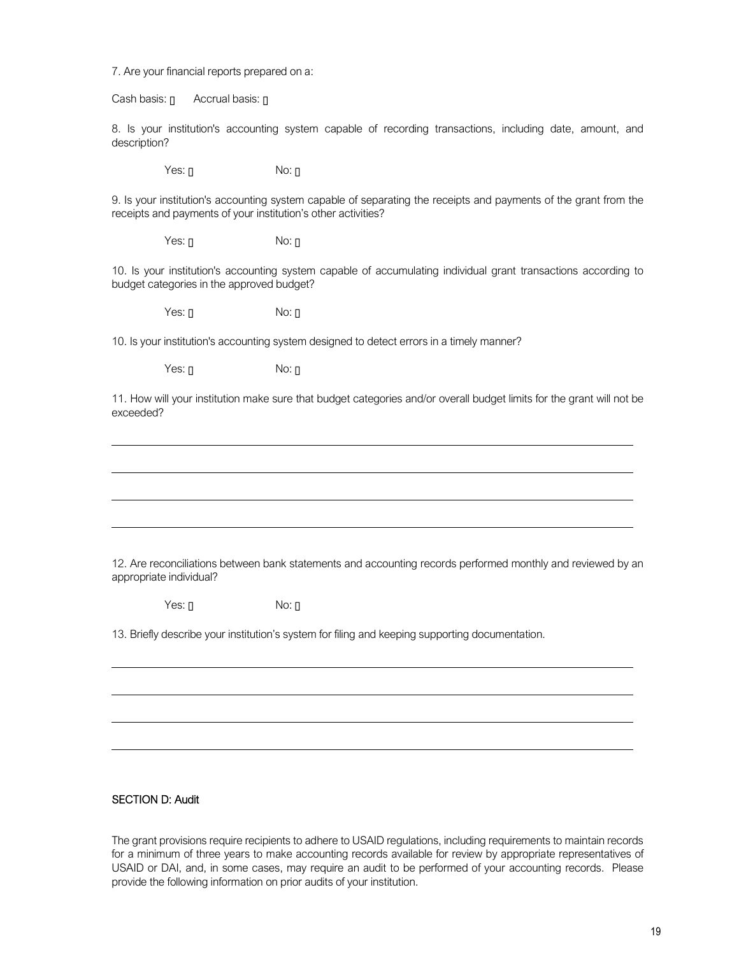7. Are your financial reports prepared on a:

Cash basis:  $\[\Box$  Accrual basis:  $\[\Box$ 

8. Is your institution's accounting system capable of recording transactions, including date, amount, and description?

 $Yes:  $\Pi$  \t\t No:  $\Pi$$ 

9. Is your institution's accounting system capable of separating the receipts and payments of the grant from the receipts and payments of your institution's other activities?

 $Yes:  $\Pi$  \t\t No:  $\Pi$$ 

10. Is your institution's accounting system capable of accumulating individual grant transactions according to budget categories in the approved budget?

Yes: n No: n

10. Is your institution's accounting system designed to detect errors in a timely manner?

Yes: n No: n

11. How will your institution make sure that budget categories and/or overall budget limits for the grant will not be exceeded?

12. Are reconciliations between bank statements and accounting records performed monthly and reviewed by an appropriate individual?

 $Yes:  $\Pi$  \t\t No:  $\Pi$$ 

13. Briefly describe your institution's system for filing and keeping supporting documentation.

#### SECTION D: Audit

The grant provisions require recipients to adhere to USAID regulations, including requirements to maintain records for a minimum of three years to make accounting records available for review by appropriate representatives of USAID or DAI, and, in some cases, may require an audit to be performed of your accounting records. Please provide the following information on prior audits of your institution.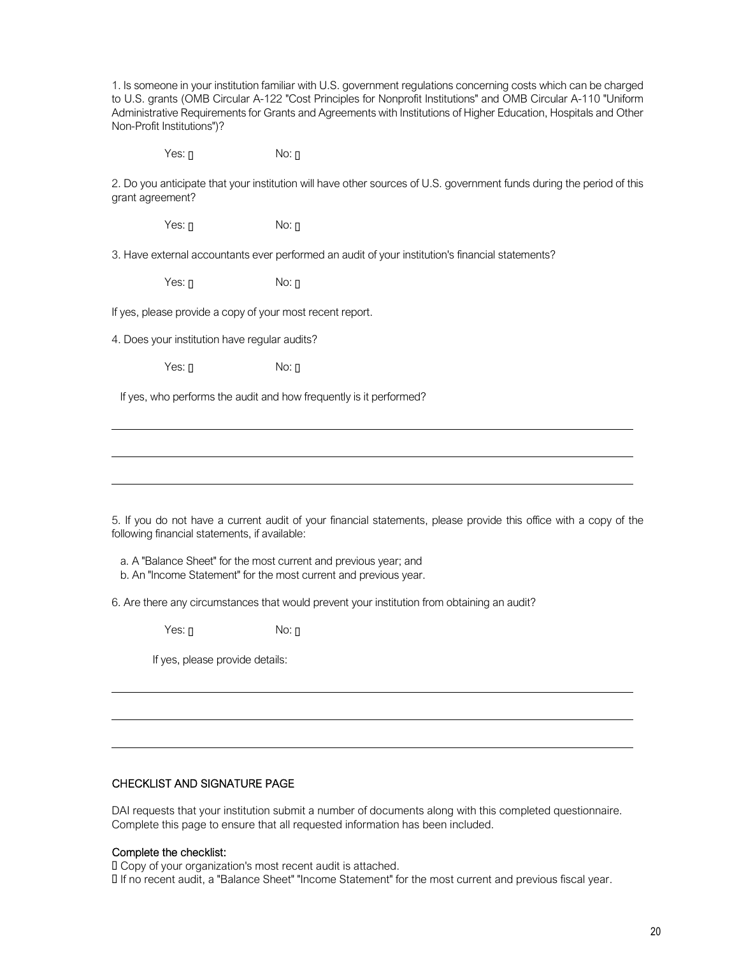1. Is someone in your institution familiar with U.S. government regulations concerning costs which can be charged to U.S. grants (OMB Circular A-122 "Cost Principles for Nonprofit Institutions" and OMB Circular A-110 "Uniform Administrative Requirements for Grants and Agreements with Institutions of Higher Education, Hospitals and Other Non-Profit Institutions")?

 $Yes:  $\Pi$  \t\t No:  $\Pi$$ 

2. Do you anticipate that your institution will have other sources of U.S. government funds during the period of this grant agreement?

 $Yes:  $\Box$  No:  $\Box$$ 

3. Have external accountants ever performed an audit of your institution's financial statements?

 $Yes:  $\Pi$  \t\t No:  $\Pi$$ 

If yes, please provide a copy of your most recent report.

4. Does your institution have regular audits?

 $Yes:  $\Pi$  \t\t No:  $\Pi$$ 

If yes, who performs the audit and how frequently is it performed?

5. If you do not have a current audit of your financial statements, please provide this office with a copy of the following financial statements, if available:

a. A "Balance Sheet" for the most current and previous year; and

b. An "Income Statement" for the most current and previous year.

6. Are there any circumstances that would prevent your institution from obtaining an audit?

 $Yes:  $\Pi$  \t\t No:  $\Pi$$ 

If yes, please provide details:

#### CHECKLIST AND SIGNATURE PAGE

DAI requests that your institution submit a number of documents along with this completed questionnaire. Complete this page to ensure that all requested information has been included.

### Complete the checklist:

Copy of your organization's most recent audit is attached.

If no recent audit, a "Balance Sheet" "Income Statement" for the most current and previous fiscal year.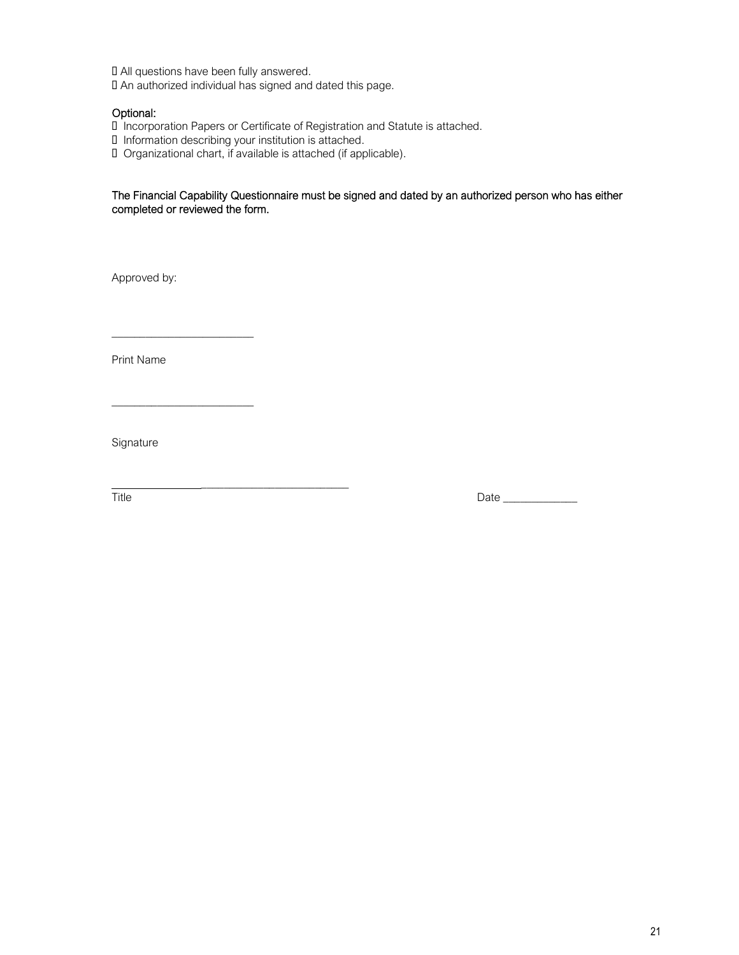All questions have been fully answered.

An authorized individual has signed and dated this page.

### Optional:

Incorporation Papers or Certificate of Registration and Statute is attached.

- Information describing your institution is attached.
- Organizational chart, if available is attached (if applicable).

### The Financial Capability Questionnaire must be signed and dated by an authorized person who has either completed or reviewed the form.

Approved by:

Print Name

\_\_\_\_\_\_\_\_\_\_\_\_\_\_\_\_\_\_\_\_\_\_\_\_\_

\_\_\_\_\_\_\_\_\_\_\_\_\_\_\_\_\_\_\_\_\_\_\_\_\_

\_\_\_\_\_\_\_\_\_\_\_\_\_\_\_\_\_\_\_\_\_\_\_\_\_\_

Signature

Title Date \_\_\_\_\_\_\_\_\_\_\_\_\_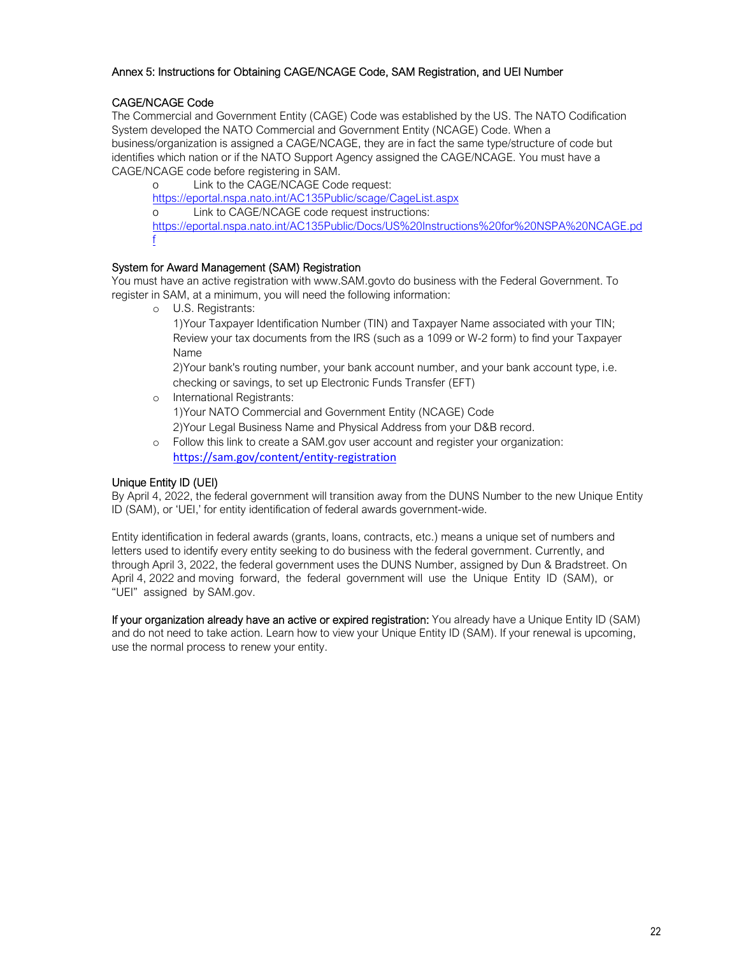### Annex 5: Instructions for Obtaining CAGE/NCAGE Code, SAM Registration, and UEI Number

# CAGE/NCAGE Code

The Commercial and Government Entity (CAGE) Code was established by the US. The NATO Codification System developed the NATO Commercial and Government Entity (NCAGE) Code. When a business/organization is assigned a CAGE/NCAGE, they are in fact the same type/structure of code but identifies which nation or if the NATO Support Agency assigned the CAGE/NCAGE. You must have a CAGE/NCAGE code before registering in SAM.

o Link to the CAGE/NCAGE Code request: https://eportal.nspa.nato.int/AC135Public/scage/CageList.aspx o Link to CAGE/NCAGE code request instructions: https://eportal.nspa.nato.int/AC135Public/Docs/US%20Instructions%20for%20NSPA%20NCAGE.pd f

### System for Award Management (SAM) Registration

You must have an active registration with www.SAM.govto do business with the Federal Government. To register in SAM, at a minimum, you will need the following information:

o U.S. Registrants:

1)Your Taxpayer Identification Number (TIN) and Taxpayer Name associated with your TIN; Review your tax documents from the IRS (such as a 1099 or W-2 form) to find your Taxpayer Name

2)Your bank's routing number, your bank account number, and your bank account type, i.e. checking or savings, to set up Electronic Funds Transfer (EFT)

- o International Registrants: 1)Your NATO Commercial and Government Entity (NCAGE) Code 2)Your Legal Business Name and Physical Address from your D&B record.
- o Follow this link to create a SAM.gov user account and register your organization: https://sam.gov/content/entity-registration

### Unique Entity ID (UEI)

By April 4, 2022, the federal government will transition away from the DUNS Number to the new Unique Entity ID (SAM), or 'UEI,' for entity identification of federal awards government-wide.

Entity identification in federal awards (grants, loans, contracts, etc.) means a unique set of numbers and letters used to identify every entity seeking to do business with the federal government. Currently, and through April 3, 2022, the federal government uses the DUNS Number, assigned by Dun & Bradstreet. On April 4, 2022 and moving forward, the federal government will use the Unique Entity ID (SAM), or "UEI" assigned by SAM.gov.

If your organization already have an active or expired registration: You already have a Unique Entity ID (SAM) and do not need to take action. Learn how to view your Unique Entity ID (SAM). If your renewal is upcoming, use the normal process to renew your entity.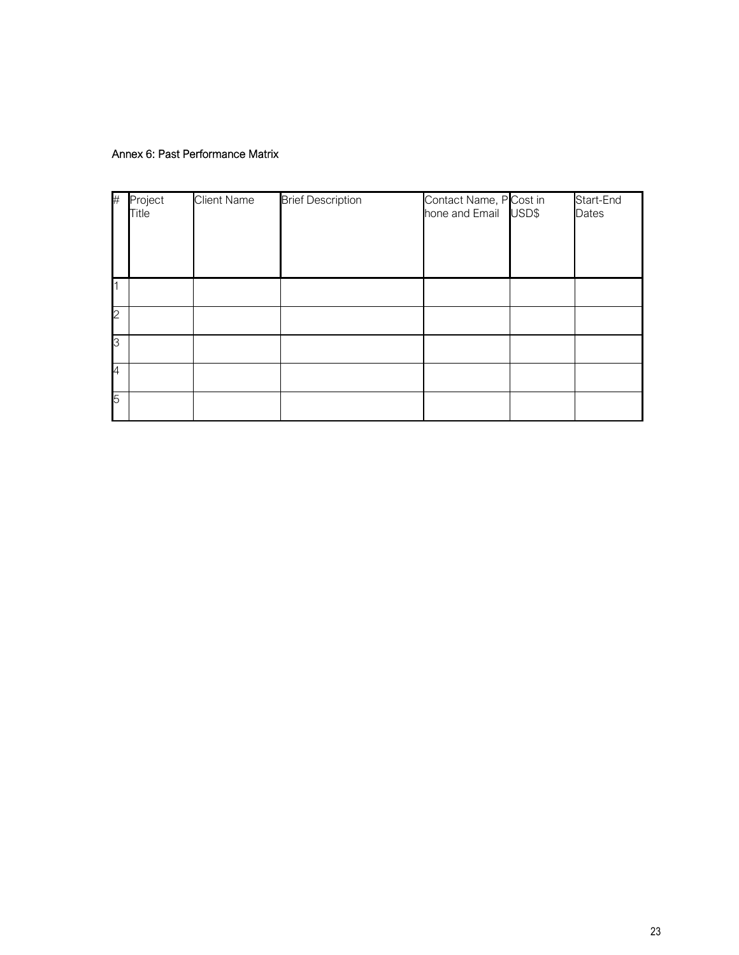# Annex 6: Past Performance Matrix

| #              | Project<br>Title | <b>Client Name</b> | <b>Brief Description</b> | Contact Name, P Cost in<br>hone and Email USD\$ | Start-End<br>Dates |
|----------------|------------------|--------------------|--------------------------|-------------------------------------------------|--------------------|
| $\overline{1}$ |                  |                    |                          |                                                 |                    |
| $\overline{c}$ |                  |                    |                          |                                                 |                    |
| 3              |                  |                    |                          |                                                 |                    |
| $\overline{4}$ |                  |                    |                          |                                                 |                    |
| 5              |                  |                    |                          |                                                 |                    |